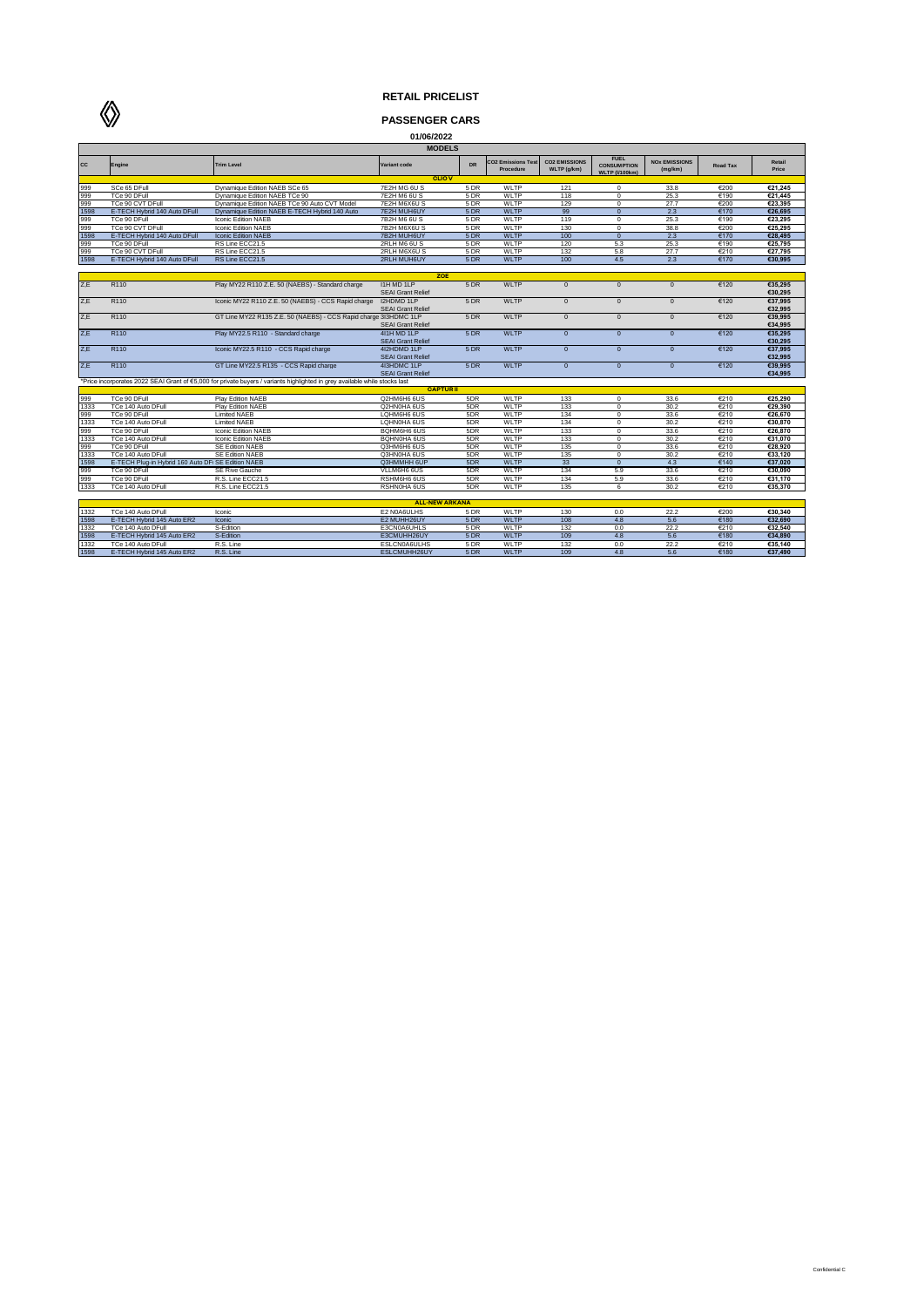

 $\Diamond$ 

## **PASSENGER CARS**

| 01/06/2022            |                                                    |                                                                                                                            |                                         |      |                                       |                                     |                                                            |                                 |                 |                    |  |
|-----------------------|----------------------------------------------------|----------------------------------------------------------------------------------------------------------------------------|-----------------------------------------|------|---------------------------------------|-------------------------------------|------------------------------------------------------------|---------------------------------|-----------------|--------------------|--|
| <b>MODELS</b>         |                                                    |                                                                                                                            |                                         |      |                                       |                                     |                                                            |                                 |                 |                    |  |
| CC                    | Engine                                             | <b>Trim Level</b>                                                                                                          | Variant code                            | DR   | <b>CO2 Emissions Tes</b><br>Procedure | <b>CO2 EMISSIONS</b><br>WLTP (g/km) | <b>FUEL</b><br><b>CONSUMPTION</b><br><b>WLTP (I/100km)</b> | <b>NOX EMISSIONS</b><br>(mg/km) | <b>Road Tax</b> | Retail<br>Price    |  |
|                       |                                                    |                                                                                                                            | <b>CLIOV</b>                            |      |                                       |                                     |                                                            |                                 |                 |                    |  |
| 999                   | SCe 65 DFull                                       | Dynamique Edition NAEB SCe 65                                                                                              | 7E2H MG 6U S                            | 5 DR | WLTP                                  | 121                                 | $\mathbf 0$                                                | 33.8                            | €200            | €21.245            |  |
| 999                   | TCe 90 DFull                                       | Dynamique Edition NAEB TCe 90                                                                                              | 7E2H M6 6U S                            | 5DR  | <b>WLTP</b>                           | 118                                 | $\Omega$                                                   | 25.3                            | €190            | €21.445            |  |
| 999                   | TCe 90 CVT DFull                                   | Dynamique Edition NAEB TCe 90 Auto CVT Model                                                                               | 7E2H M6X6U S                            | 5 DR | WLTP                                  | 129                                 | $\Omega$                                                   | 27.7                            | €200            | €23.395            |  |
| 1598                  | E-TECH Hybrid 140 Auto DFull                       | Dynamique Edition NAEB E-TECH Hybrid 140 Auto                                                                              | 7E2H MUH6UY                             | 5 DR | <b>WLTP</b>                           | 99                                  | $\overline{0}$                                             | 2.3                             | €170            | €26.695            |  |
| 999                   | TCe 90 DFull                                       | Iconic Edition NAEB                                                                                                        | 7B2H M6 6U S                            | 5 DR | WLTP                                  | 119                                 | $\mathbf 0$                                                | 25.3                            | €190            | €23.295            |  |
| 999                   | TCe 90 CVT DFull                                   | Iconic Edition NAEB                                                                                                        | 7B2H M6X6U S                            | 5 DR | WLTP                                  | 130                                 | $\mathbf 0$                                                | 38.8                            | €200            | €25,295            |  |
| 1598                  | E-TECH Hybrid 140 Auto DFull                       | <b>Iconic Edition NAEB</b>                                                                                                 | 7B2H MUH6UY                             | 5 DR | <b>WLTP</b>                           | 100                                 | $\overline{0}$                                             | 2.3                             | €170            | €28.495            |  |
| 999                   | TCe 90 DFull                                       | RS Line ECC21.5                                                                                                            | 2RLH M6 6U S                            | 5 DR | WLTP                                  | 120                                 | 5.3                                                        | 25.3                            | €190            | €25.795            |  |
| 999                   | TCe 90 CVT DFull                                   | RS Line ECC21.5                                                                                                            | 2RLH M6X6U S                            | 5 DR | WLTP                                  | 132                                 | 5.8                                                        | 27.7                            | €210            | €27.795            |  |
| 1598                  | E-TECH Hybrid 140 Auto DFull                       | RS Line ECC21.5                                                                                                            | 2RLH MUH6UY                             | 5 DR | <b>WLTP</b>                           | 100                                 | 4.5                                                        | 2.3                             | €170            | €30.995            |  |
|                       |                                                    |                                                                                                                            |                                         |      |                                       |                                     |                                                            |                                 |                 |                    |  |
|                       |                                                    |                                                                                                                            | ZOE                                     |      |                                       |                                     |                                                            |                                 |                 |                    |  |
| Z.E                   | R110                                               | Play MY22 R110 Z.E. 50 (NAEBS) - Standard charge                                                                           | I1H MD 1LP<br><b>SEAI Grant Relief</b>  | 5 DR | <b>WLTP</b>                           | $\mathbf{0}$                        | $\Omega$                                                   | $\Omega$                        | €120            | €35.295<br>€30.295 |  |
| Z,E                   | R110                                               | Iconic MY22 R110 Z.E. 50 (NAEBS) - CCS Rapid charge                                                                        | I2HDMD 1LP<br><b>SEAI Grant Relief</b>  | 5 DR | <b>WLTP</b>                           | $\mathbf{0}$                        | $\mathbf{0}$                                               | $\mathbf{0}$                    | €120            | €37,995<br>€32,995 |  |
| Z.E                   | R110                                               | GT Line MY22 R135 Z.E. 50 (NAEBS) - CCS Rapid charge 3I3HDMC 1LP                                                           | <b>SEAI Grant Relief</b>                | 5 DR | <b>WLTP</b>                           | $\mathbf{0}$                        | $\Omega$                                                   | $\mathbf{0}$                    | €120            | €39.995<br>€34,995 |  |
| Z.E                   | R110                                               | Play MY22.5 R110 - Standard charge                                                                                         | 411H MD 1LP<br><b>SEAI Grant Relief</b> | 5 DR | <b>WLTP</b>                           | $\mathbf{0}$                        | $\mathbf{0}$                                               | $\mathbf{0}$                    | €120            | €35.295<br>€30,295 |  |
| Z.E                   | R110                                               | Iconic MY22.5 R110 - CCS Rapid charge                                                                                      | 4I2HDMD 1LP<br><b>SEAI Grant Relief</b> | 5 DR | <b>WLTP</b>                           | $\mathbf{0}$                        | $\mathbf{0}$                                               | $\Omega$                        | €120            | €37.995<br>€32,995 |  |
| Z,E                   | R110                                               | GT Line MY22.5 R135 - CCS Rapid charge                                                                                     | 4I3HDMC 1LP<br><b>SEAI Grant Relief</b> | 5 DR | WI TP                                 | $\overline{0}$                      | $\overline{0}$                                             | $\overline{0}$                  | 6120            | €39,995<br>€34.995 |  |
|                       |                                                    | Price incorporates 2022 SEAI Grant of €5,000 for private buyers / variants highlighted in grey available while stocks last |                                         |      |                                       |                                     |                                                            |                                 |                 |                    |  |
|                       |                                                    |                                                                                                                            | <b>CAPTURII</b>                         |      |                                       |                                     |                                                            |                                 |                 |                    |  |
| 999                   | TCe 90 DFull                                       | Play Edition NAEB                                                                                                          | Q2HM6H6 6US                             | 5DR  | WLTP                                  | 133                                 | $\mathbf 0$                                                | 33.6                            | €210            | €25.290            |  |
| 1333                  | TCe 140 Auto DFull                                 | Play Edition NAEB                                                                                                          | Q2HN0HA 6US                             | 5DR  | WLTP                                  | 133                                 | $\mathbf 0$                                                | 30.2                            | €210            | €29.390            |  |
| 999                   | TCe 90 DFull                                       | <b>Limited NAEB</b>                                                                                                        | LQHM6H6 6US                             | 5DR  | <b>WLTP</b>                           | 134                                 | $\overline{0}$                                             | 33.6                            | €210            | €26,670            |  |
| 1333                  | TCe 140 Auto DFull                                 | <b>Limited NAEB</b>                                                                                                        | LOHN0HA 6US                             | 5DR  | WLTP                                  | 134                                 | $\mathbf 0$                                                | 30.2                            | €210            | €30.870            |  |
| 999                   | TCe 90 DFull                                       | Iconic Edition NAEB                                                                                                        | BQHM6H6 6US                             | 5DR  | WLTP                                  | 133                                 | $\Omega$                                                   | 33.6                            | €210            | €26.870            |  |
| 1333                  | TCe 140 Auto DFull                                 | Iconic Edition NAEB                                                                                                        | <b>BOHNOHA 6US</b>                      | 5DR  | WI TP                                 | 133                                 | $\Omega$                                                   | 30.2                            | €210            | €31.070            |  |
| 999                   | TCe 90 DFull                                       | SE Edition NAEB                                                                                                            | Q3HM6H6 6US                             | 5DR  | WLTP                                  | 135                                 | $\Omega$                                                   | 33.6                            | €210            | €28.920            |  |
| 1333                  | TCe 140 Auto DFull                                 | SE Edition NAEB                                                                                                            | Q3HN0HA 6US                             | 5DR  | WLTP                                  | 135                                 | $\overline{0}$                                             | 30.2                            | €210            | €33,120            |  |
| 1598                  | E-TECH Plug-in Hybrid 160 Auto DF: SE Edition NAEB |                                                                                                                            | Q3HMMHH 6UP                             | 5DR  | <b>WLTP</b>                           | 33                                  | $\overline{0}$                                             | 4.3                             | €140            | €37.020            |  |
| 999                   | TCe 90 DFull                                       | SE Rive Gauche                                                                                                             | VLLM6H6 6US                             | 5DR  | WLTP                                  | 134                                 | 5.9                                                        | 33.6                            | €210            | €30.090            |  |
| 999                   | TCe 90 DFull                                       | R.S. Line ECC21.5                                                                                                          | RSHM6H6 6US                             | 5DR  | WLTP                                  | 134                                 | 5.9                                                        | 33.6                            | €210            | €31.170            |  |
| 1333                  | TCe 140 Auto DFull                                 | R.S. Line ECC21.5                                                                                                          | RSHN0HA 6US                             | 5DR  | WLTP                                  | 135                                 | $\overline{6}$                                             | 30.2                            | €210            | €35.370            |  |
|                       |                                                    |                                                                                                                            |                                         |      |                                       |                                     |                                                            |                                 |                 |                    |  |
| <b>ALL-NEW ARKANA</b> |                                                    |                                                                                                                            |                                         |      |                                       |                                     |                                                            |                                 |                 |                    |  |
| 1332                  | TCe 140 Auto DFull                                 | Iconic                                                                                                                     | E2 N0A6ULHS                             | 5 DR | WLTP                                  | 130                                 | 0.0                                                        | 22.2                            | €200            | €30.340            |  |
| 1598                  | E-TECH Hybrid 145 Auto ER2                         | Iconic                                                                                                                     | E2 MUHH26UY                             | 5 DR | <b>WLTP</b>                           | 108                                 | 4.8                                                        | 5.6                             | €180            | €32.690            |  |
| 1332                  | TCe 140 Auto DFull                                 | S-Edition                                                                                                                  | E3CN0A6UHLS                             | 5 DR | WLTP                                  | 132                                 | 0.0                                                        | 22.2                            | €210            | €32,540            |  |
| 1598                  | E-TECH Hybrid 145 Auto ER2                         | S-Edition                                                                                                                  | E3CMUHH26UY                             | 5 DR | WI TP                                 | 109                                 | 4.8                                                        | 5.6                             | €180            | €34.890            |  |
| 1332                  | TCe 140 Auto DFull                                 | R.S. Line                                                                                                                  | ESLCN0A6ULHS                            | 5 DR | WLTP                                  | 132                                 | 0.0                                                        | 22.2                            | €210            | €35,140            |  |
| 1598                  | E-TECH Hybrid 145 Auto ER2                         | R.S. Line                                                                                                                  | ESLCMUHH26UY                            | 5 DR | <b>WLTP</b>                           | 109                                 | 4.8                                                        | 5.6                             | €180            | €37,490            |  |